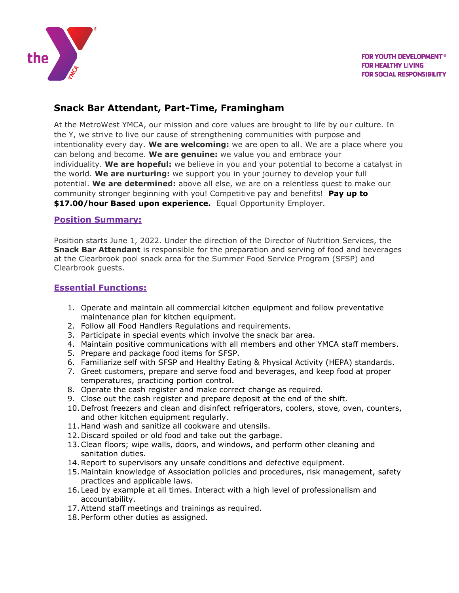

# **Snack Bar Attendant, Part-Time, Framingham**

At the MetroWest YMCA, our mission and core values are brought to life by our culture. In the Y, we strive to live our cause of strengthening communities with purpose and intentionality every day. **We are welcoming:** we are open to all. We are a place where you can belong and become. **We are genuine:** we value you and embrace your individuality. **We are hopeful:** we believe in you and your potential to become a catalyst in the world. **We are nurturing:** we support you in your journey to develop your full potential. **We are determined:** above all else, we are on a relentless quest to make our community stronger beginning with you! Competitive pay and benefits! **Pay up to \$17.00/hour Based upon experience.** Equal Opportunity Employer.

#### **Position Summary:**

Position starts June 1, 2022. Under the direction of the Director of Nutrition Services, the **Snack Bar Attendant** is responsible for the preparation and serving of food and beverages at the Clearbrook pool snack area for the Summer Food Service Program (SFSP) and Clearbrook guests.

#### **Essential Functions:**

- 1. Operate and maintain all commercial kitchen equipment and follow preventative maintenance plan for kitchen equipment.
- 2. Follow all Food Handlers Regulations and requirements.
- 3. Participate in special events which involve the snack bar area.
- 4. Maintain positive communications with all members and other YMCA staff members.
- 5. Prepare and package food items for SFSP.
- 6. Familiarize self with SFSP and Healthy Eating & Physical Activity (HEPA) standards.
- 7. Greet customers, prepare and serve food and beverages, and keep food at proper temperatures, practicing portion control.
- 8. Operate the cash register and make correct change as required.
- 9. Close out the cash register and prepare deposit at the end of the shift.
- 10. Defrost freezers and clean and disinfect refrigerators, coolers, stove, oven, counters, and other kitchen equipment regularly.
- 11. Hand wash and sanitize all cookware and utensils.
- 12. Discard spoiled or old food and take out the garbage.
- 13.Clean floors; wipe walls, doors, and windows, and perform other cleaning and sanitation duties.
- 14.Report to supervisors any unsafe conditions and defective equipment.
- 15. Maintain knowledge of Association policies and procedures, risk management, safety practices and applicable laws.
- 16. Lead by example at all times. Interact with a high level of professionalism and accountability.
- 17.Attend staff meetings and trainings as required.
- 18. Perform other duties as assigned.